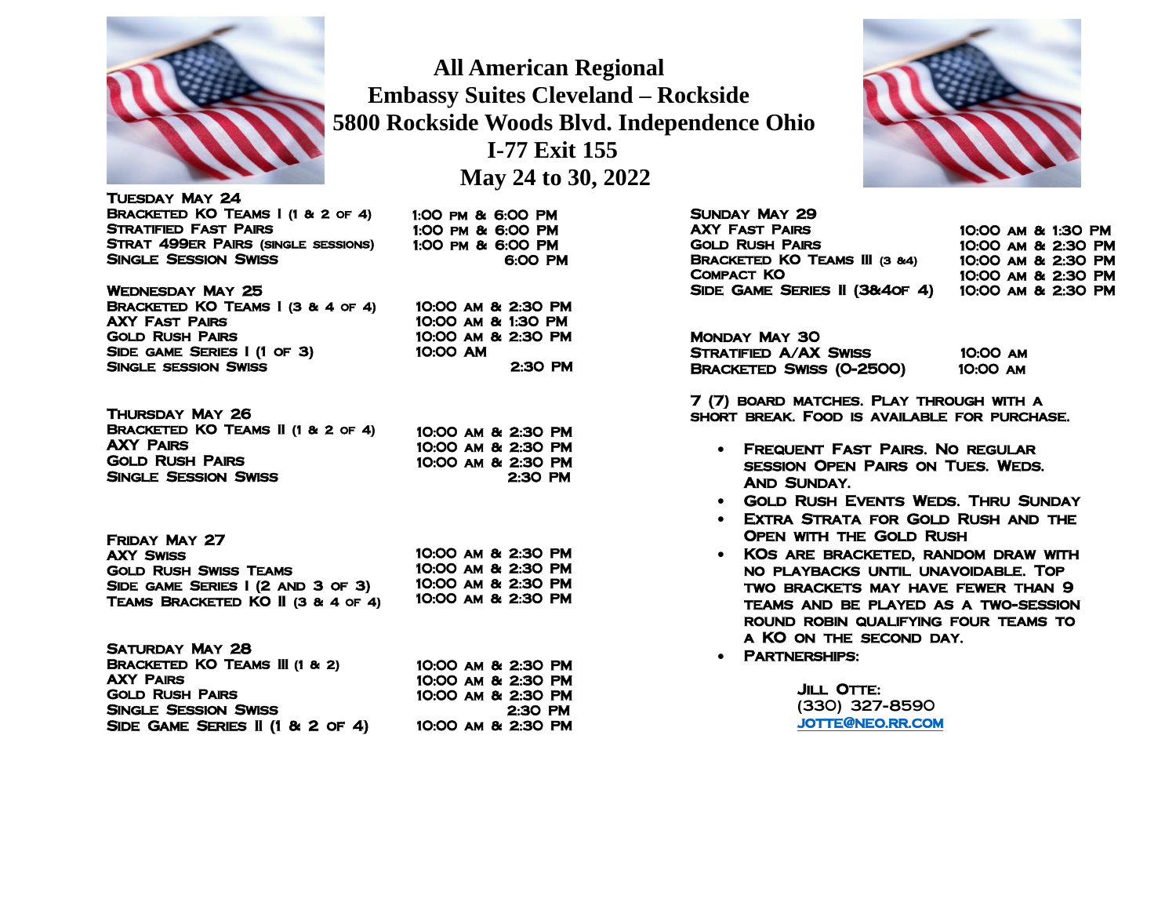

 **All American Regional Embassy Suites Cleveland – Rockside 5800 Rockside Woods Blvd. Independence Ohio I-77 Exit 155 May 24 to 30, 2022**

> 1:00 pm & 6:00 PM 1:00 pm & 6:00 PM 1:00 pm & 6:00 PM

10:00 am & 2:30 PM 10:00 am & 1:30 PM 10:00 am & 2:30 PM

10:00 AM

6:00 PM

2:30 PM

Tuesday May 24 Bracketed KO Teams I (1 & 2 of 4) Stratified Fast Pairs Strat 499er Pairs (single sessions) Single Session Swiss

Wednesday May 25 Bracketed KO Teams I (3 & 4 of 4) AXY Fast Pairs Gold Rush Pairs Side game Series I (1 of 3) Single session Swiss

Thursday May 26 Bracketed KO Teams II (1 & 2 of 4) AXY Pairs Gold Rush Pairs Single Session Swiss 10:00 am & 2:30 PM 10:00 am & 2:30 PM 10:00 am & 2:30 PM 2:30 PM

| FRIDAY MAY 27                      |                    |  |  |
|------------------------------------|--------------------|--|--|
| <b>AXY SWISS</b>                   | 10:00 AM & 2:30 PM |  |  |
| <b>GOLD RUSH SWISS TEAMS</b>       | 10:00 AM & 2:30 PM |  |  |
| SIDE GAME SERIES I (2 AND 3 OF 3)  | 10:00 AM & 2:30 PM |  |  |
| TEAMS BRACKETED KO II (3 & 4 of 4) | 10:00 AM & 2:30 PM |  |  |

| SATURDAY MAY 28                           |                    |
|-------------------------------------------|--------------------|
| <b>BRACKETED KO TEAMS III (1 &amp; 2)</b> | 10:00 AM & 2:30 PM |
| <b>AXY PAIRS</b>                          | 10:00 AM & 2:30 PM |
| <b>GOLD RUSH PAIRS</b>                    | 10:00 AM & 2:30 PM |
| <b>SINGLE SESSION SWISS</b>               | $2:30$ PM          |
| SIDE GAME SERIES II (1 & 2 OF 4)          | 10:00 AM & 2:30 PM |



Sunday May 29 AXY Fast Pairs Gold Rush Pairs Bracketed KO Teams III (3 &4) Compact KO Side Game Series II (3&4of 4)

10:00 am & 1:30 PM 10:00 am & 2:30 PM 10:00 am & 2:30 PM 10:00 am & 2:30 PM 10:00 am & 2:30 PM

Monday May 30 STRATIFIED A/AX SWISS 10:00 AM BRACKETED SWISS (0-2500) 10:00 AM

7 (7) board matches. Play through with a short break. Food is available for purchase.

- Frequent Fast Pairs. No regular session Open Pairs on Tues. Weds. AND SUNDAY.
- Gold Rush Events Weds. Thru Sunday
- Extra Strata for Gold Rush and the Open with the Gold Rush
- KOs are bracketed, random draw with no playbacks until unavoidable. Top two brackets may have fewer than 9 teams and be played as a two-session round robin qualifying four teams to a KO on the second day.
- Partnerships:

**JILL OTTE:** (330) 327-8590 [jotte@neo.rr.com](mailto:jotte@neo.rr.com)